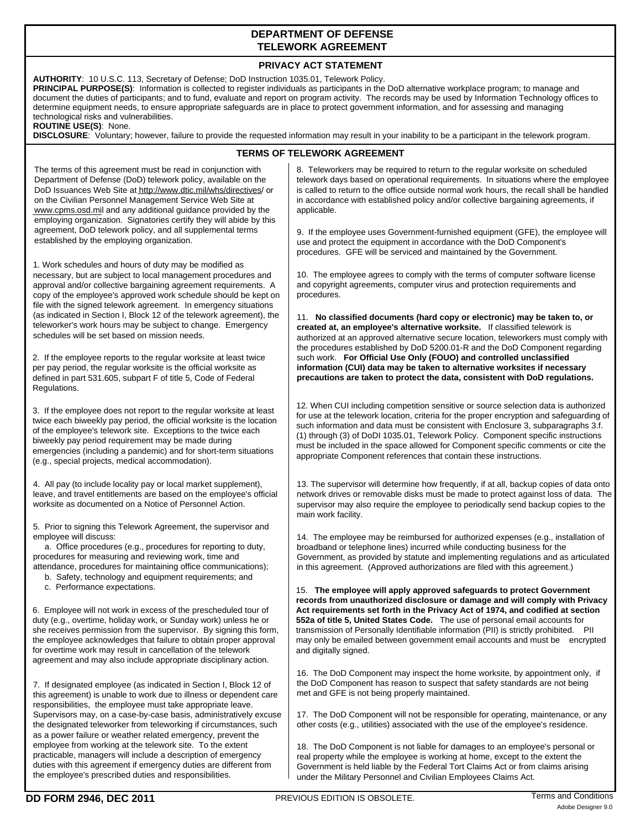## **DEPARTMENT OF DEFENSE TELEWORK AGREEMENT**

## **PRIVACY ACT STATEMENT**

| FRIVAUT AUT STATEMENT                                                                                                                                                                                                                                                                                                                                                                                                                                                                                                                                                                                                                                                                                                                                                                       |                                                                                                                                                                                                                                                                                                                                                                                                                                                                                                                               |  |  |  |
|---------------------------------------------------------------------------------------------------------------------------------------------------------------------------------------------------------------------------------------------------------------------------------------------------------------------------------------------------------------------------------------------------------------------------------------------------------------------------------------------------------------------------------------------------------------------------------------------------------------------------------------------------------------------------------------------------------------------------------------------------------------------------------------------|-------------------------------------------------------------------------------------------------------------------------------------------------------------------------------------------------------------------------------------------------------------------------------------------------------------------------------------------------------------------------------------------------------------------------------------------------------------------------------------------------------------------------------|--|--|--|
| AUTHORITY: 10 U.S.C. 113, Secretary of Defense; DoD Instruction 1035.01, Telework Policy.<br><b>PRINCIPAL PURPOSE(S)</b> : Information is collected to register individuals as participants in the DoD alternative workplace program; to manage and<br>document the duties of participants; and to fund, evaluate and report on program activity. The records may be used by Information Technology offices to<br>determine equipment needs, to ensure appropriate safeguards are in place to protect government information, and for assessing and managing<br>technological risks and vulnerabilities.<br>ROUTINE USE(S): None.<br>DISCLOSURE: Voluntary; however, failure to provide the requested information may result in your inability to be a participant in the telework program. |                                                                                                                                                                                                                                                                                                                                                                                                                                                                                                                               |  |  |  |
|                                                                                                                                                                                                                                                                                                                                                                                                                                                                                                                                                                                                                                                                                                                                                                                             | <b>TERMS OF TELEWORK AGREEMENT</b>                                                                                                                                                                                                                                                                                                                                                                                                                                                                                            |  |  |  |
| The terms of this agreement must be read in conjunction with<br>Department of Defense (DoD) telework policy, available on the<br>DoD Issuances Web Site at http://www.dtic.mil/whs/directives/ or<br>on the Civilian Personnel Management Service Web Site at<br>www.cpms.osd.mil and any additional guidance provided by the<br>employing organization. Signatories certify they will abide by this<br>agreement, DoD telework policy, and all supplemental terms<br>established by the employing organization.                                                                                                                                                                                                                                                                            | 8. Teleworkers may be required to return to the regular worksite on scheduled<br>telework days based on operational requirements. In situations where the employee<br>is called to return to the office outside normal work hours, the recall shall be handled<br>in accordance with established policy and/or collective bargaining agreements, if<br>applicable.<br>9. If the employee uses Government-furnished equipment (GFE), the employee will<br>use and protect the equipment in accordance with the DoD Component's |  |  |  |
|                                                                                                                                                                                                                                                                                                                                                                                                                                                                                                                                                                                                                                                                                                                                                                                             | procedures. GFE will be serviced and maintained by the Government.                                                                                                                                                                                                                                                                                                                                                                                                                                                            |  |  |  |
| 1. Work schedules and hours of duty may be modified as<br>necessary, but are subject to local management procedures and<br>approval and/or collective bargaining agreement requirements. A<br>copy of the employee's approved work schedule should be kept on<br>file with the signed telework agreement. In emergency situations                                                                                                                                                                                                                                                                                                                                                                                                                                                           | 10. The employee agrees to comply with the terms of computer software license<br>and copyright agreements, computer virus and protection requirements and<br>procedures.                                                                                                                                                                                                                                                                                                                                                      |  |  |  |
| (as indicated in Section I, Block 12 of the telework agreement), the<br>teleworker's work hours may be subject to change. Emergency<br>schedules will be set based on mission needs.                                                                                                                                                                                                                                                                                                                                                                                                                                                                                                                                                                                                        | 11. No classified documents (hard copy or electronic) may be taken to, or<br>created at, an employee's alternative worksite. If classified telework is<br>authorized at an approved alternative secure location, teleworkers must comply with<br>the procedures established by DoD 5200.01-R and the DoD Component regarding                                                                                                                                                                                                  |  |  |  |
| 2. If the employee reports to the regular worksite at least twice<br>per pay period, the regular worksite is the official worksite as<br>defined in part 531.605, subpart F of title 5, Code of Federal<br>Regulations.                                                                                                                                                                                                                                                                                                                                                                                                                                                                                                                                                                     | such work. For Official Use Only (FOUO) and controlled unclassified<br>information (CUI) data may be taken to alternative worksites if necessary<br>precautions are taken to protect the data, consistent with DoD regulations.                                                                                                                                                                                                                                                                                               |  |  |  |
| 3. If the employee does not report to the regular worksite at least<br>twice each biweekly pay period, the official worksite is the location<br>of the employee's telework site. Exceptions to the twice each<br>biweekly pay period requirement may be made during<br>emergencies (including a pandemic) and for short-term situations<br>(e.g., special projects, medical accommodation).                                                                                                                                                                                                                                                                                                                                                                                                 | 12. When CUI including competition sensitive or source selection data is authorized<br>for use at the telework location, criteria for the proper encryption and safeguarding of<br>such information and data must be consistent with Enclosure 3, subparagraphs 3.f.<br>(1) through (3) of DoDI 1035.01, Telework Policy. Component specific instructions<br>must be included in the space allowed for Component specific comments or cite the<br>appropriate Component references that contain these instructions.           |  |  |  |
| 4. All pay (to include locality pay or local market supplement),<br>leave, and travel entitlements are based on the employee's official<br>worksite as documented on a Notice of Personnel Action.                                                                                                                                                                                                                                                                                                                                                                                                                                                                                                                                                                                          | 13. The supervisor will determine how frequently, if at all, backup copies of data onto<br>network drives or removable disks must be made to protect against loss of data. The<br>supervisor may also require the employee to periodically send backup copies to the<br>main work facility.                                                                                                                                                                                                                                   |  |  |  |
| 5. Prior to signing this Telework Agreement, the supervisor and<br>employee will discuss:<br>a. Office procedures (e.g., procedures for reporting to duty,<br>procedures for measuring and reviewing work, time and<br>attendance, procedures for maintaining office communications);<br>b. Safety, technology and equipment requirements; and<br>c. Performance expectations.                                                                                                                                                                                                                                                                                                                                                                                                              | 14. The employee may be reimbursed for authorized expenses (e.g., installation of<br>broadband or telephone lines) incurred while conducting business for the<br>Government, as provided by statute and implementing regulations and as articulated<br>in this agreement. (Approved authorizations are filed with this agreement.)<br>15. The employee will apply approved safeguards to protect Government                                                                                                                   |  |  |  |
| 6. Employee will not work in excess of the prescheduled tour of<br>duty (e.g., overtime, holiday work, or Sunday work) unless he or<br>she receives permission from the supervisor. By signing this form,<br>the employee acknowledges that failure to obtain proper approval<br>for overtime work may result in cancellation of the telework<br>agreement and may also include appropriate disciplinary action.                                                                                                                                                                                                                                                                                                                                                                            | records from unauthorized disclosure or damage and will comply with Privacy<br>Act requirements set forth in the Privacy Act of 1974, and codified at section<br>552a of title 5, United States Code. The use of personal email accounts for<br>transmission of Personally Identifiable information (PII) is strictly prohibited. PII<br>may only be emailed between government email accounts and must be encrypted<br>and digitally signed.                                                                                 |  |  |  |
| 7. If designated employee (as indicated in Section I, Block 12 of<br>this agreement) is unable to work due to illness or dependent care<br>responsibilities, the employee must take appropriate leave.                                                                                                                                                                                                                                                                                                                                                                                                                                                                                                                                                                                      | 16. The DoD Component may inspect the home worksite, by appointment only, if<br>the DoD Component has reason to suspect that safety standards are not being<br>met and GFE is not being properly maintained.                                                                                                                                                                                                                                                                                                                  |  |  |  |
| Supervisors may, on a case-by-case basis, administratively excuse<br>the designated teleworker from teleworking if circumstances, such<br>as a power failure or weather related emergency, prevent the                                                                                                                                                                                                                                                                                                                                                                                                                                                                                                                                                                                      | 17. The DoD Component will not be responsible for operating, maintenance, or any<br>other costs (e.g., utilities) associated with the use of the employee's residence.                                                                                                                                                                                                                                                                                                                                                        |  |  |  |
| employee from working at the telework site. To the extent                                                                                                                                                                                                                                                                                                                                                                                                                                                                                                                                                                                                                                                                                                                                   | 18. The DoD Component is not liable for damages to an employee's personal or                                                                                                                                                                                                                                                                                                                                                                                                                                                  |  |  |  |

practicable, managers will include a description of emergency duties with this agreement if emergency duties are different from

the employee's prescribed duties and responsibilities.

real property while the employee is working at home, except to the extent the Government is held liable by the Federal Tort Claims Act or from claims arising

under the Military Personnel and Civilian Employees Claims Act.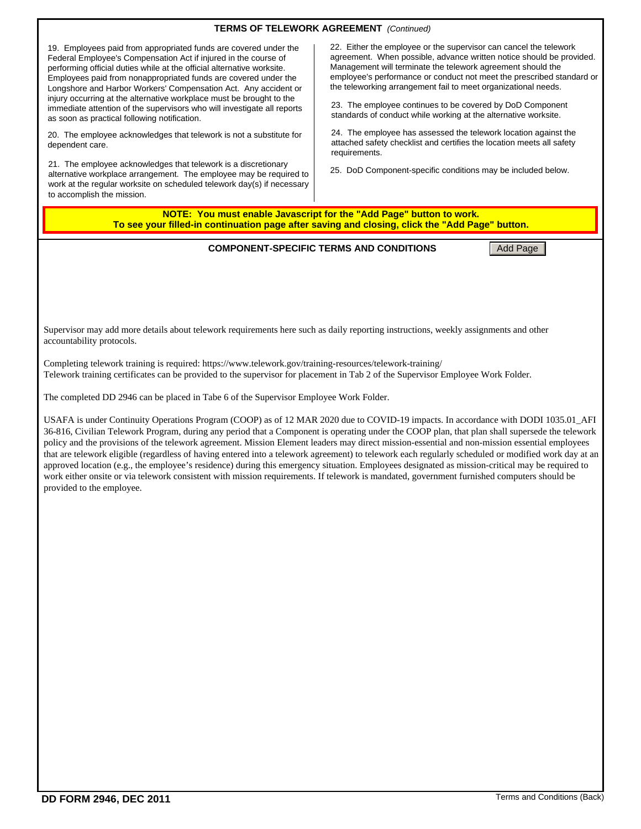## **TERMS OF TELEWORK AGREEMENT** *(Continued)*

19. Employees paid from appropriated funds are covered under the Federal Employee's Compensation Act if injured in the course of performing official duties while at the official alternative worksite. Employees paid from nonappropriated funds are covered under the Longshore and Harbor Workers' Compensation Act. Any accident or injury occurring at the alternative workplace must be brought to the immediate attention of the supervisors who will investigate all reports as soon as practical following notification.

20. The employee acknowledges that telework is not a substitute for dependent care.

21. The employee acknowledges that telework is a discretionary alternative workplace arrangement. The employee may be required to work at the regular worksite on scheduled telework day(s) if necessary to accomplish the mission.

22. Either the employee or the supervisor can cancel the telework agreement. When possible, advance written notice should be provided. Management will terminate the telework agreement should the employee's performance or conduct not meet the prescribed standard or the teleworking arrangement fail to meet organizational needs.

23. The employee continues to be covered by DoD Component standards of conduct while working at the alternative worksite.

24. The employee has assessed the telework location against the attached safety checklist and certifies the location meets all safety requirements.

25. DoD Component-specific conditions may be included below.

**NOTE: You must enable Javascript for the "Add Page" button to work. To see your filled-in continuation page after saving and closing, click the "Add Page" button.**

**COMPONENT-SPECIFIC TERMS AND CONDITIONS** Add Page

Supervisor may add more details about telework requirements here such as daily reporting instructions, weekly assignments and other accountability protocols.

Completing telework training is required: https://www.telework.gov/training-resources/telework-training/ Telework training certificates can be provided to the supervisor for placement in Tab 2 of the Supervisor Employee Work Folder.

The completed DD 2946 can be placed in Tabe 6 of the Supervisor Employee Work Folder.

USAFA is under Continuity Operations Program (COOP) as of 12 MAR 2020 due to COVID-19 impacts. In accordance with DODI 1035.01\_AFI 36-816, Civilian Telework Program, during any period that a Component is operating under the COOP plan, that plan shall supersede the telework policy and the provisions of the telework agreement. Mission Element leaders may direct mission-essential and non-mission essential employees that are telework eligible (regardless of having entered into a telework agreement) to telework each regularly scheduled or modified work day at an approved location (e.g., the employee's residence) during this emergency situation. Employees designated as mission-critical may be required to work either onsite or via telework consistent with mission requirements. If telework is mandated, government furnished computers should be provided to the employee.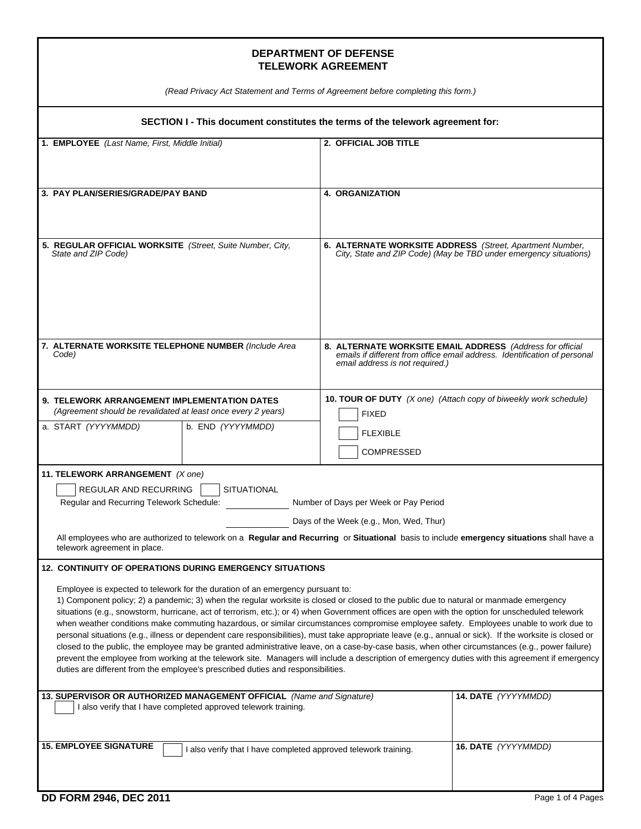## **DEPARTMENT OF DEFENSE TELEWORK AGREEMENT**

*(Read Privacy Act Statement and Terms of Agreement before completing this form.)*

| (Read Privacy Act Statement and Terms of Agreement before completing this form.)                                                                                                                                                                                                                             |                                                                                                                                                                                                                                                                                                                                                                                                                                                                                                                                                                                                                                                                                                                                                               |  |  |
|--------------------------------------------------------------------------------------------------------------------------------------------------------------------------------------------------------------------------------------------------------------------------------------------------------------|---------------------------------------------------------------------------------------------------------------------------------------------------------------------------------------------------------------------------------------------------------------------------------------------------------------------------------------------------------------------------------------------------------------------------------------------------------------------------------------------------------------------------------------------------------------------------------------------------------------------------------------------------------------------------------------------------------------------------------------------------------------|--|--|
| SECTION I - This document constitutes the terms of the telework agreement for:                                                                                                                                                                                                                               |                                                                                                                                                                                                                                                                                                                                                                                                                                                                                                                                                                                                                                                                                                                                                               |  |  |
| 1. EMPLOYEE (Last Name, First, Middle Initial)                                                                                                                                                                                                                                                               | 2. OFFICIAL JOB TITLE                                                                                                                                                                                                                                                                                                                                                                                                                                                                                                                                                                                                                                                                                                                                         |  |  |
| 3. PAY PLAN/SERIES/GRADE/PAY BAND                                                                                                                                                                                                                                                                            | <b>4. ORGANIZATION</b>                                                                                                                                                                                                                                                                                                                                                                                                                                                                                                                                                                                                                                                                                                                                        |  |  |
| 5. REGULAR OFFICIAL WORKSITE (Street, Suite Number, City,<br>State and ZIP Code)                                                                                                                                                                                                                             | 6. ALTERNATE WORKSITE ADDRESS (Street, Apartment Number,<br>City, State and ZIP Code) (May be TBD under emergency situations)                                                                                                                                                                                                                                                                                                                                                                                                                                                                                                                                                                                                                                 |  |  |
| 7. ALTERNATE WORKSITE TELEPHONE NUMBER (Include Area<br>Code)                                                                                                                                                                                                                                                | 8. ALTERNATE WORKSITE EMAIL ADDRESS (Address for official<br>emails if different from office email address. Identification of personal<br>email address is not required.)                                                                                                                                                                                                                                                                                                                                                                                                                                                                                                                                                                                     |  |  |
| <b>9. TELEWORK ARRANGEMENT IMPLEMENTATION DATES</b><br>(Agreement should be revalidated at least once every 2 years)<br>a. START (YYYYMMDD)<br>b. END (YYYYMMDD)                                                                                                                                             | <b>10. TOUR OF DUTY</b> $(X \text{ one})$ (Attach copy of biweekly work schedule)<br><b>FIXED</b>                                                                                                                                                                                                                                                                                                                                                                                                                                                                                                                                                                                                                                                             |  |  |
|                                                                                                                                                                                                                                                                                                              | <b>FLEXIBLE</b><br><b>COMPRESSED</b>                                                                                                                                                                                                                                                                                                                                                                                                                                                                                                                                                                                                                                                                                                                          |  |  |
| 11. TELEWORK ARRANGEMENT (X one)<br>REGULAR AND RECURRING<br><b>SITUATIONAL</b><br>Regular and Recurring Telework Schedule:<br>telework agreement in place.                                                                                                                                                  | Number of Days per Week or Pay Period<br>Days of the Week (e.g., Mon, Wed, Thur)<br>All employees who are authorized to telework on a Regular and Recurring or Situational basis to include emergency situations shall have a                                                                                                                                                                                                                                                                                                                                                                                                                                                                                                                                 |  |  |
| 12. CONTINUITY OF OPERATIONS DURING EMERGENCY SITUATIONS                                                                                                                                                                                                                                                     |                                                                                                                                                                                                                                                                                                                                                                                                                                                                                                                                                                                                                                                                                                                                                               |  |  |
| Employee is expected to telework for the duration of an emergency pursuant to:<br>1) Component policy; 2) a pandemic; 3) when the regular worksite is closed or closed to the public due to natural or manmade emergency<br>duties are different from the employee's prescribed duties and responsibilities. | situations (e.g., snowstorm, hurricane, act of terrorism, etc.); or 4) when Government offices are open with the option for unscheduled telework<br>when weather conditions make commuting hazardous, or similar circumstances compromise employee safety. Employees unable to work due to<br>personal situations (e.g., illness or dependent care responsibilities), must take appropriate leave (e.g., annual or sick). If the worksite is closed or<br>closed to the public, the employee may be granted administrative leave, on a case-by-case basis, when other circumstances (e.g., power failure)<br>prevent the employee from working at the telework site. Managers will include a description of emergency duties with this agreement if emergency |  |  |
| 13. SUPERVISOR OR AUTHORIZED MANAGEMENT OFFICIAL (Name and Signature)<br>I also verify that I have completed approved telework training.                                                                                                                                                                     | 14. DATE (YYYYMMDD)                                                                                                                                                                                                                                                                                                                                                                                                                                                                                                                                                                                                                                                                                                                                           |  |  |
| <b>15. EMPLOYEE SIGNATURE</b><br>I also verify that I have completed approved telework training.                                                                                                                                                                                                             | 16. DATE (YYYYMMDD)                                                                                                                                                                                                                                                                                                                                                                                                                                                                                                                                                                                                                                                                                                                                           |  |  |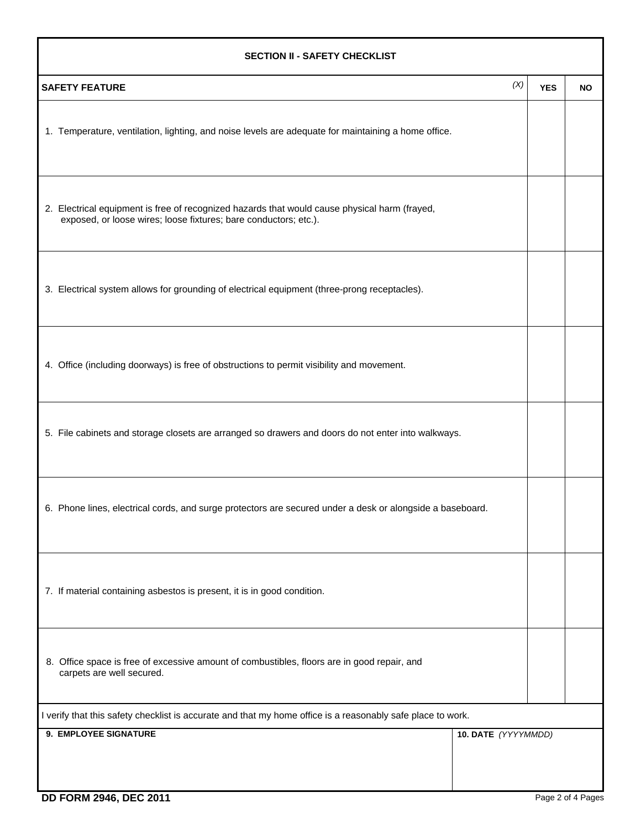| <b>SECTION II - SAFETY CHECKLIST</b>                                                                                                                              |            |           |  |  |  |
|-------------------------------------------------------------------------------------------------------------------------------------------------------------------|------------|-----------|--|--|--|
| (X)<br><b>SAFETY FEATURE</b>                                                                                                                                      | <b>YES</b> | <b>NO</b> |  |  |  |
| 1. Temperature, ventilation, lighting, and noise levels are adequate for maintaining a home office.                                                               |            |           |  |  |  |
| 2. Electrical equipment is free of recognized hazards that would cause physical harm (frayed,<br>exposed, or loose wires; loose fixtures; bare conductors; etc.). |            |           |  |  |  |
| 3. Electrical system allows for grounding of electrical equipment (three-prong receptacles).                                                                      |            |           |  |  |  |
| 4. Office (including doorways) is free of obstructions to permit visibility and movement.                                                                         |            |           |  |  |  |
| 5. File cabinets and storage closets are arranged so drawers and doors do not enter into walkways.                                                                |            |           |  |  |  |
| 6. Phone lines, electrical cords, and surge protectors are secured under a desk or alongside a baseboard.                                                         |            |           |  |  |  |
| 7. If material containing asbestos is present, it is in good condition.                                                                                           |            |           |  |  |  |
| 8. Office space is free of excessive amount of combustibles, floors are in good repair, and<br>carpets are well secured.                                          |            |           |  |  |  |
| I verify that this safety checklist is accurate and that my home office is a reasonably safe place to work.                                                       |            |           |  |  |  |
| 9. EMPLOYEE SIGNATURE<br>10. DATE (YYYYMMDD)                                                                                                                      |            |           |  |  |  |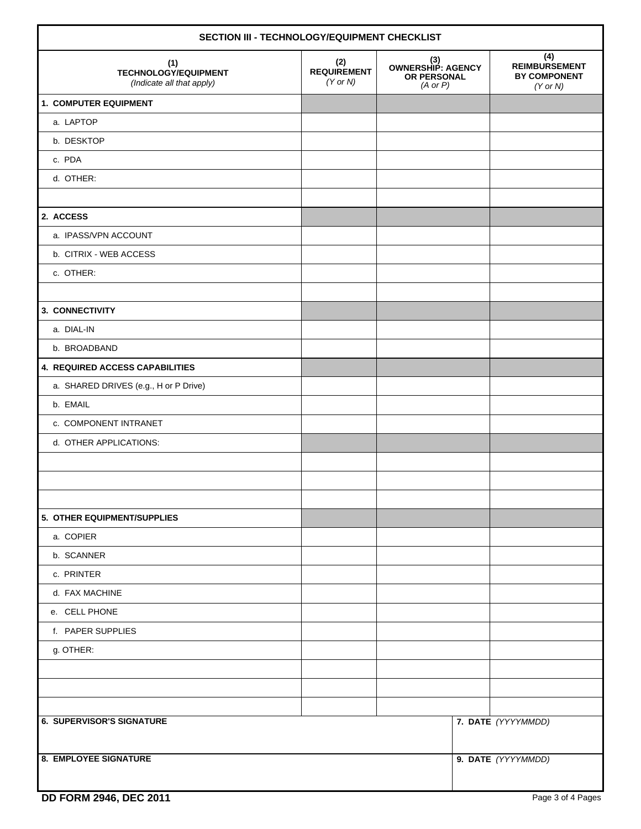| SECTION III - TECHNOLOGY/EQUIPMENT CHECKLIST                    |                                           |                                                                |                                                                    |  |
|-----------------------------------------------------------------|-------------------------------------------|----------------------------------------------------------------|--------------------------------------------------------------------|--|
| (1)<br><b>TECHNOLOGY/EQUIPMENT</b><br>(Indicate all that apply) | (2)<br><b>REQUIREMENT</b><br>$(Y$ or $N)$ | (3)<br>OWNERSHIP: AGENCY<br>OR PERSONAL<br>$(A \text{ or } P)$ | (4)<br><b>REIMBURSEMENT</b><br><b>BY COMPONENT</b><br>$(Y$ or $N)$ |  |
| 1. COMPUTER EQUIPMENT                                           |                                           |                                                                |                                                                    |  |
| a. LAPTOP                                                       |                                           |                                                                |                                                                    |  |
| b. DESKTOP                                                      |                                           |                                                                |                                                                    |  |
| c. PDA                                                          |                                           |                                                                |                                                                    |  |
| d. OTHER:                                                       |                                           |                                                                |                                                                    |  |
|                                                                 |                                           |                                                                |                                                                    |  |
| 2. ACCESS                                                       |                                           |                                                                |                                                                    |  |
| a. IPASS/VPN ACCOUNT                                            |                                           |                                                                |                                                                    |  |
| b. CITRIX - WEB ACCESS                                          |                                           |                                                                |                                                                    |  |
| c. OTHER:                                                       |                                           |                                                                |                                                                    |  |
|                                                                 |                                           |                                                                |                                                                    |  |
| 3. CONNECTIVITY                                                 |                                           |                                                                |                                                                    |  |
| a. DIAL-IN                                                      |                                           |                                                                |                                                                    |  |
| b. BROADBAND                                                    |                                           |                                                                |                                                                    |  |
| 4. REQUIRED ACCESS CAPABILITIES                                 |                                           |                                                                |                                                                    |  |
| a. SHARED DRIVES (e.g., H or P Drive)                           |                                           |                                                                |                                                                    |  |
| b. EMAIL                                                        |                                           |                                                                |                                                                    |  |
| c. COMPONENT INTRANET                                           |                                           |                                                                |                                                                    |  |
| d. OTHER APPLICATIONS:                                          |                                           |                                                                |                                                                    |  |
|                                                                 |                                           |                                                                |                                                                    |  |
|                                                                 |                                           |                                                                |                                                                    |  |
|                                                                 |                                           |                                                                |                                                                    |  |
| 5. OTHER EQUIPMENT/SUPPLIES                                     |                                           |                                                                |                                                                    |  |
| a. COPIER                                                       |                                           |                                                                |                                                                    |  |
| b. SCANNER                                                      |                                           |                                                                |                                                                    |  |
| c. PRINTER                                                      |                                           |                                                                |                                                                    |  |
| d. FAX MACHINE                                                  |                                           |                                                                |                                                                    |  |
| e. CELL PHONE                                                   |                                           |                                                                |                                                                    |  |
| f. PAPER SUPPLIES                                               |                                           |                                                                |                                                                    |  |
| g. OTHER:                                                       |                                           |                                                                |                                                                    |  |
|                                                                 |                                           |                                                                |                                                                    |  |
|                                                                 |                                           |                                                                |                                                                    |  |
|                                                                 |                                           |                                                                |                                                                    |  |
| <b>6. SUPERVISOR'S SIGNATURE</b>                                |                                           |                                                                | 7. DATE (YYYYMMDD)                                                 |  |
|                                                                 |                                           |                                                                |                                                                    |  |
| <b>8. EMPLOYEE SIGNATURE</b>                                    |                                           |                                                                | 9. DATE (YYYYMMDD)                                                 |  |